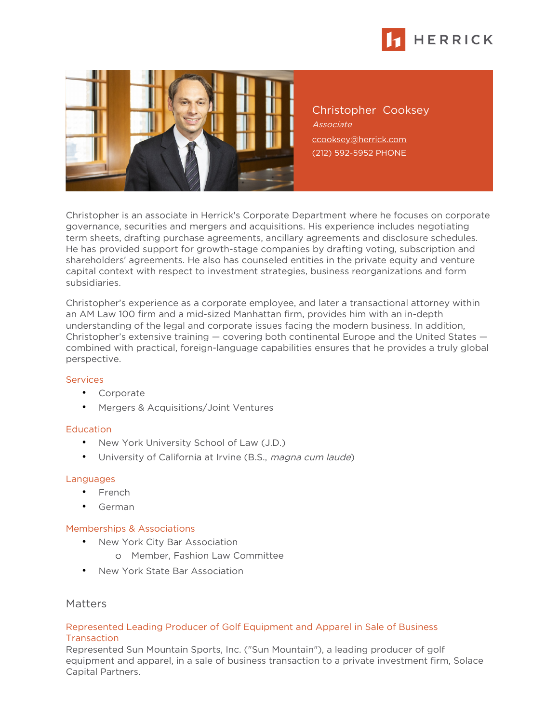



Christopher Cooksey Associate [ccooksey@herrick.com](mailto:ccooksey@herrick.com) (212) 592-5952 PHONE

Christopher is an associate in Herrick's Corporate Department where he focuses on corporate governance, securities and mergers and acquisitions. His experience includes negotiating term sheets, drafting purchase agreements, ancillary agreements and disclosure schedules. He has provided support for growth-stage companies by drafting voting, subscription and shareholders' agreements. He also has counseled entities in the private equity and venture capital context with respect to investment strategies, business reorganizations and form subsidiaries.

Christopher's experience as a corporate employee, and later a transactional attorney within an AM Law 100 firm and a mid-sized Manhattan firm, provides him with an in-depth understanding of the legal and corporate issues facing the modern business. In addition, Christopher's extensive training — covering both continental Europe and the United States combined with practical, foreign-language capabilities ensures that he provides a truly global perspective.

#### **Services**

- Corporate
- Mergers & Acquisitions/Joint Ventures

## **Education**

- New York University School of Law (J.D.)
- University of California at Irvine (B.S., magna cum laude)

## Languages

- French
- German

#### Memberships & Associations

- New York City Bar Association
	- o Member, Fashion Law Committee
- New York State Bar Association

# Matters

## Represented Leading Producer of Golf Equipment and Apparel in Sale of Business **Transaction**

Represented Sun Mountain Sports, Inc. ("Sun Mountain"), a leading producer of golf equipment and apparel, in a sale of business transaction to a private investment firm, Solace Capital Partners.